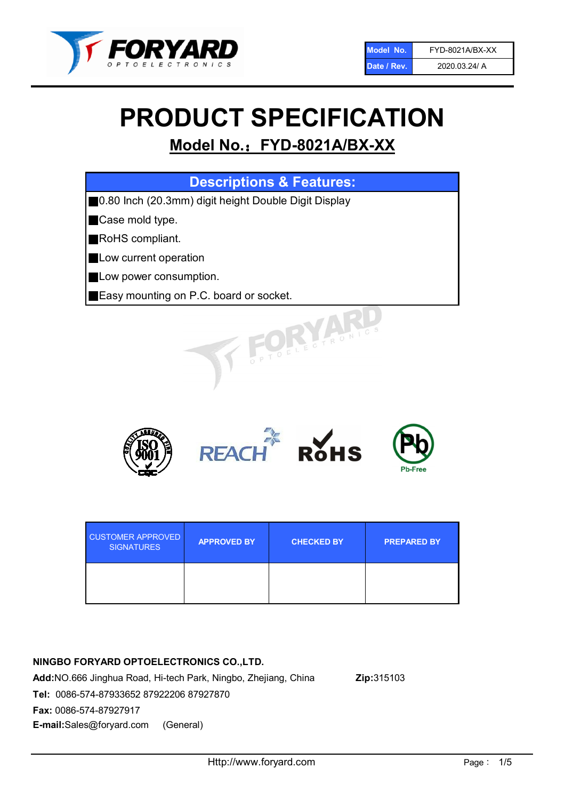

# PRODUCT SPECIFICATION

# Model No.: FYD-8021A/BX-XX

| <b>Descriptions &amp; Features:</b>                  |
|------------------------------------------------------|
| 0.80 Inch (20.3mm) digit height Double Digit Display |
| Case mold type.<br>ı                                 |
| RoHS compliant.                                      |
| Low current operation                                |
| Low power consumption.                               |
| <b>Easy mounting on P.C. board or socket.</b>        |
| VINECTRONIC.                                         |



| <b>CUSTOMER APPROVED</b><br><b>SIGNATURES</b> | <b>APPROVED BY</b> | <b>CHECKED BY</b> | <b>PREPARED BY</b> |
|-----------------------------------------------|--------------------|-------------------|--------------------|
|                                               |                    |                   |                    |

## NINGBO FORYARD OPTOELECTRONICS CO.,LTD.

Add:NO.666 Jinghua Road, Hi-tech Park, Ningbo, Zhejiang, China Zip:315103 Tel: 0086-574-87933652 87922206 87927870 Fax: 0086-574-87927917 E-mail:Sales@foryard.com (General)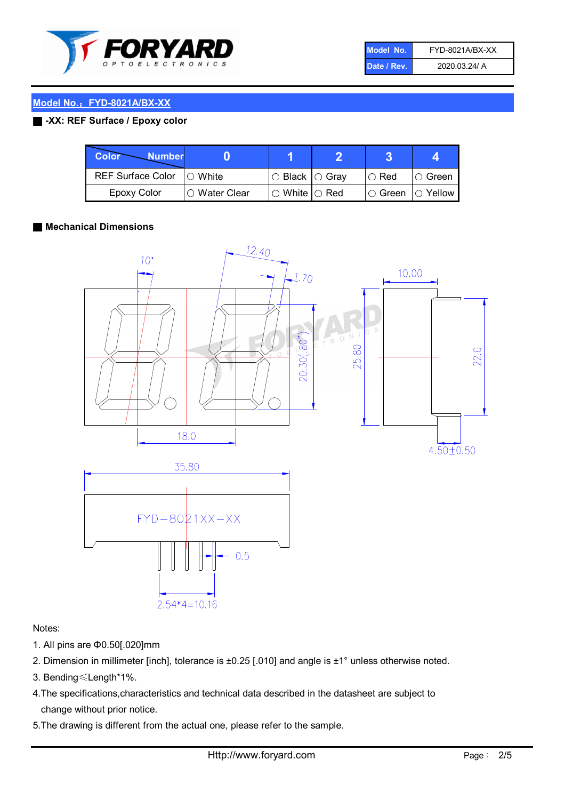

| Model No.   | FYD-8021A/BX-XX |
|-------------|-----------------|
| Date / Rev. | 2020.03.24/ A   |

#### Model No.: FYD-8021A/BX-XX

#### ■ -XX: REF Surface / Epoxy color

| Color<br><b>Number</b>   |                        |                           |               |                |
|--------------------------|------------------------|---------------------------|---------------|----------------|
| <b>REF Surface Color</b> | $\bigcap$ White        | ○ Black  ○ Gray           | $\circ$ Red   | ○ Green        |
| <b>Epoxy Color</b>       | $\bigcirc$ Water Clear | $\circ$ White $\circ$ Red | $\circ$ Green | $\circ$ Yellow |

#### ■ Mechanical Dimensions



Notes:

- 1. All pins are Φ0.50[.020]mm
- 2. Dimension in millimeter [inch], tolerance is ±0.25 [.010] and angle is ±1° unless otherwise noted.

 $0.5$ 

- 3. Bending≤Length\*1%.
- 4.The specifications,characteristics and technical data described in the datasheet are subject to change without prior notice.
- 5.The drawing is different from the actual one, please refer to the sample.

 $2.54*4=10.16$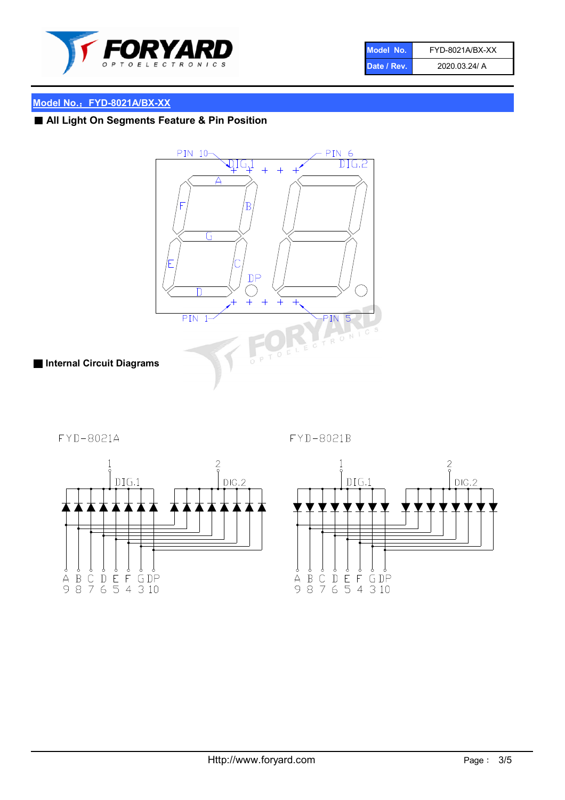

| Model No.   | FYD-8021A/BX-XX |
|-------------|-----------------|
| Date / Rev. | 2020.03.24/ A   |

### Model No.: FYD-8021A/BX-XX

# ■ All Light On Segments Feature & Pin Position



■ Internal Circuit Diagrams

FYD-8021A





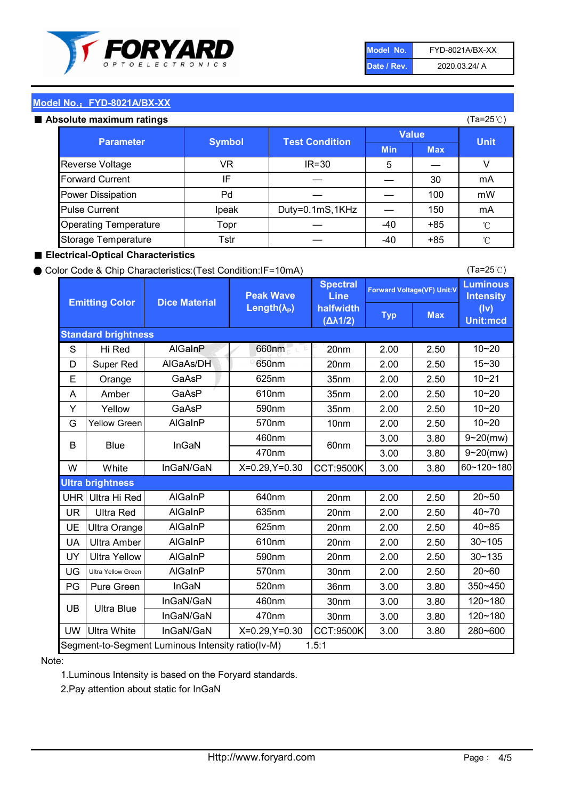

| Model No.   | FYD-8021A/BX-XX |
|-------------|-----------------|
| Date / Rev. | 2020.03.24/ A   |

(Ta=25℃)

#### Model No.: FYD-8021A/BX-XX

#### Absolute maximum

| solute maximum ratings       |               |                       |              |            | (Ta=25℃)    |
|------------------------------|---------------|-----------------------|--------------|------------|-------------|
| <b>Parameter</b>             | <b>Symbol</b> | <b>Test Condition</b> | <b>Value</b> |            |             |
|                              |               |                       | <b>Min</b>   | <b>Max</b> | <b>Unit</b> |
| Reverse Voltage              | VR            | $IR = 30$             | 5            |            |             |
| <b>Forward Current</b>       | IF            |                       |              | 30         | mA          |
| Power Dissipation            | Pd            |                       |              | 100        | mW          |
| <b>Pulse Current</b>         | Ipeak         | Duty=0.1mS,1KHz       |              | 150        | mA          |
| <b>Operating Temperature</b> | Topr          |                       | $-40$        | $+85$      | °C          |
| Storage Temperature          | Tstr          |                       | -40          | $+85$      | °C          |

#### ■ Electrical-Optical Characteristics

#### ● Color Code & Chip Characteristics:(Test Condition:IF=10mA)

Typ Max S | Hi $\textsf{Red}$  | AlGaInP | 660nm LE 20nm | 2.00 | 2.50 D | Super Red | AIGaAs/DH | 650nm | 20nm | 2.00 | 2.50 E | Orange | GaAsP | 625nm | 35nm | 2.00 | 2.50 A | Amber | GaAsP | 610nm | 35nm | 2.00 | 2.50 Y | Yellow | GaAsP | 590nm | 35nm | 2.00 | 2.50 G Yellow Green AIGaInP | 570nm | 10nm | 2.00 | 2.50 3.00 3.80 3.00 3.80 W | White | InGaN/GaN | X=0.29,Y=0.30 |CCT:9500K| 3.00 | 3.80 UHR Ultra Hi Red | AlGaInP | 640nm | 20nm | 2.00 | 2.50 UR | Ultra Red | AlGaInP | 635nm | 20nm | 2.00 | 2.50 UE Ultra Orange | AIGaInP | 625nm | 20nm | 2.00 | 2.50 UA Ultra Amber | AIGaInP | 610nm | 20nm | 2.00 | 2.50  $UV$  Ultra Yellow  $\vert$  AlGaInP  $\vert$  590nm  $\vert$  20nm  $\vert$  2.00  $\vert$  2.50  $\text{UG}$  Ultra Yellow Green | AIGaInP | 570nm | 30nm | 2.00 | 2.50 PG Pure Green | InGaN | 520nm | 36nm | 3.00 | 3.80 30nm 3.00 3.80 30nm 3.00 3.80 UW |Ultra White | InGaN/GaN | X=0.29,Y=0.30 |CCT:9500K| 3.00 | 3.80 10~20 Standard brightness Forward Voltage(VF) Unit:V 15~30 10~20 10~20 625nm GaAsP 590nm **Emitting Color Dice Material** 10~21 610nm Luminous **Intensity** (Iv) Unit:mcd AlGainP 660nm GaAsP GaAsP AlGaAs/DH **Spectral** Line halfwidth (∆λ1/2) Peak Wave Length $(\lambda_{\rm P})$ UB 460nm 635nm AlGaInP AlGaInP AlGaInP InGaN/GaN AlGaInP | 570nm | 10nm | 2.00 | 2.50 | 10~20 30~105 30~135 460nm 520nm Ultra brightness **AlGaInP** AlGaInP 60nm AlGaInP 640nm Segment-to-Segment Luminous Intensity ratio(Iv-M) 1.5:1 610nm 9~20(mw) 350~450 470nm 120~180 120~180 Ultra Blue InGaN/GaN InGaN/GaN 9~20(mw) 20~50 280~600 570nm | 30nm | 2.00 | 2.50 | 20~60 470nm 590nm InGaN/GaN B Blue I InGaN 40~85 60~120~180 40~70

#### Note:

1.Luminous Intensity is based on the Foryard standards.

2.Pay attention about static for InGaN